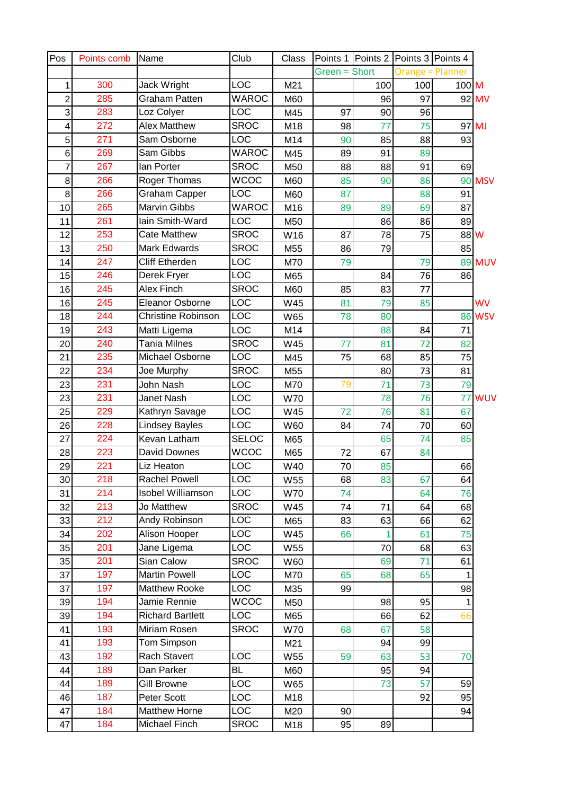| Pos            | Points comb | Name                      | Club         | Class           |               |     | Points 1   Points 2   Points 3   Points 4 |         |               |
|----------------|-------------|---------------------------|--------------|-----------------|---------------|-----|-------------------------------------------|---------|---------------|
|                |             |                           |              |                 | Green = Short |     | <b>Orange = Planner</b>                   |         |               |
| 1              | 300         | Jack Wright               | <b>LOC</b>   | M21             |               | 100 | 100                                       | $100$ M |               |
| $\overline{2}$ | 285         | <b>Graham Patten</b>      | <b>WAROC</b> | M60             |               | 96  | 97                                        |         | 92 MV         |
| 3              | 283         | Loz Colyer                | LOC          | M45             | 97            | 90  | 96                                        |         |               |
| 4              | 272         | <b>Alex Matthew</b>       | <b>SROC</b>  | M18             | 98            | 77  | 75                                        |         | 97 MJ         |
| 5              | 271         | Sam Osborne               | LOC          | M14             | 90            | 85  | 88                                        | 93      |               |
| 6              | 269         | Sam Gibbs                 | WAROC        | M45             | 89            | 91  | 89                                        |         |               |
| 7              | 267         | lan Porter                | <b>SROC</b>  | M50             | 88            | 88  | 91                                        | 69      |               |
| 8              | 266         | Roger Thomas              | <b>WCOC</b>  | M60             | 85            | 90  | 86                                        | 90      | <b>MSV</b>    |
| 8              | 266         | <b>Graham Capper</b>      | LOC          | M60             | 87            |     | 88                                        | 91      |               |
| 10             | 265         | <b>Marvin Gibbs</b>       | <b>WAROC</b> | M16             | 89            | 89  | 69                                        | 87      |               |
| 11             | 261         | lain Smith-Ward           | LOC          | M50             |               | 86  | 86                                        | 89      |               |
| 12             | 253         | <b>Cate Matthew</b>       | <b>SROC</b>  | W16             | 87            | 78  | 75                                        | 88 W    |               |
| 13             | 250         | <b>Mark Edwards</b>       | <b>SROC</b>  | M55             | 86            | 79  |                                           | 85      |               |
| 14             | 247         | <b>Cliff Etherden</b>     | LOC          | M70             | 79            |     | 79                                        |         | <b>89 MUV</b> |
| 15             | 246         | Derek Fryer               | LOC          | M65             |               | 84  | 76                                        | 86      |               |
| 16             | 245         | Alex Finch                | <b>SROC</b>  | M60             | 85            | 83  | 77                                        |         |               |
| 16             | 245         | Eleanor Osborne           | LOC          | W45             | 81            | 79  | 85                                        |         | <b>WV</b>     |
| 18             | 244         | <b>Christine Robinson</b> | LOC          | W65             | 78            | 80  |                                           | 86      | <b>WSV</b>    |
| 19             | 243         | Matti Ligema              | LOC          | M14             |               | 88  | 84                                        | 71      |               |
| 20             | 240         | <b>Tania Milnes</b>       | <b>SROC</b>  | W45             | 77            | 81  | 72                                        | 82      |               |
| 21             | 235         | Michael Osborne           | LOC          | M45             | 75            | 68  | 85                                        | 75      |               |
| 22             | 234         | Joe Murphy                | <b>SROC</b>  | M55             |               | 80  | 73                                        | 81      |               |
| 23             | 231         | John Nash                 | LOC          | M70             | 79            | 71  | 73                                        | 79      |               |
| 23             | 231         | Janet Nash                | LOC          | <b>W70</b>      |               | 78  | 76                                        | 77      | <b>WUV</b>    |
| 25             | 229         | Kathryn Savage            | LOC          | W45             | 72            | 76  | 81                                        | 67      |               |
| 26             | 228         | <b>Lindsey Bayles</b>     | LOC          | W60             | 84            | 74  | 70                                        | 60      |               |
| 27             | 224         | Kevan Latham              | <b>SELOC</b> | M65             |               | 65  | 74                                        | 85      |               |
| 28             | 223         | David Downes              | <b>WCOC</b>  | M65             | 72            | 67  | 84                                        |         |               |
| 29             | 221         | Liz Heaton                | LOC          | W40             | 70            | 85  |                                           | 66      |               |
| 30             | 218         | <b>Rachel Powell</b>      | <b>LOC</b>   | W55             | 68            | 83  | 67                                        | 64      |               |
| 31             | 214         | <b>Isobel Williamson</b>  | LOC          | <b>W70</b>      | 74            |     | 64                                        | 76      |               |
| 32             | 213         | Jo Matthew                | <b>SROC</b>  | W45             | 74            | 71  | 64                                        | 68      |               |
| 33             | 212         | Andy Robinson             | LOC          | M65             | 83            | 63  | 66                                        | 62      |               |
| 34             | 202         | Alison Hooper             | LOC          | W45             | 66            | 1   | 61                                        | 75      |               |
| 35             | 201         | Jane Ligema               | LOC          | W55             |               | 70  | 68                                        | 63      |               |
| 35             | 201         | Sian Calow                | <b>SROC</b>  | W60             |               | 69  | 71                                        | 61      |               |
| 37             | 197         | <b>Martin Powell</b>      | LOC          | M70             | 65            | 68  | 65                                        |         |               |
| 37             | 197         | <b>Matthew Rooke</b>      | LOC          | M35             | 99            |     |                                           | 98      |               |
| 39             | 194         | Jamie Rennie              | <b>WCOC</b>  | M50             |               | 98  | 95                                        | 1       |               |
| 39             | 194         | <b>Richard Bartlett</b>   | <b>LOC</b>   | M65             |               | 66  | 62                                        | 66      |               |
| 41             | 193         | Miriam Rosen              | <b>SROC</b>  | W70             | 68            | 67  | 58                                        |         |               |
| 41             | 193         | Tom Simpson               |              | M21             |               | 94  | 99                                        |         |               |
| 43             | 192         | <b>Rach Stavert</b>       | <b>LOC</b>   | W <sub>55</sub> | 59            | 63  | 53                                        | 70      |               |
| 44             | 189         | Dan Parker                | <b>BL</b>    | M60             |               | 95  | 94                                        |         |               |
| 44             | 189         | <b>Gill Browne</b>        | LOC          | W65             |               | 73  | 57                                        | 59      |               |
| 46             | 187         | Peter Scott               | LOC          | M18             |               |     | 92                                        | 95      |               |
| 47             | 184         | <b>Matthew Horne</b>      | LOC.         | M20             | 90            |     |                                           | 94      |               |
| 47             | 184         | Michael Finch             | <b>SROC</b>  | M18             | 95            | 89  |                                           |         |               |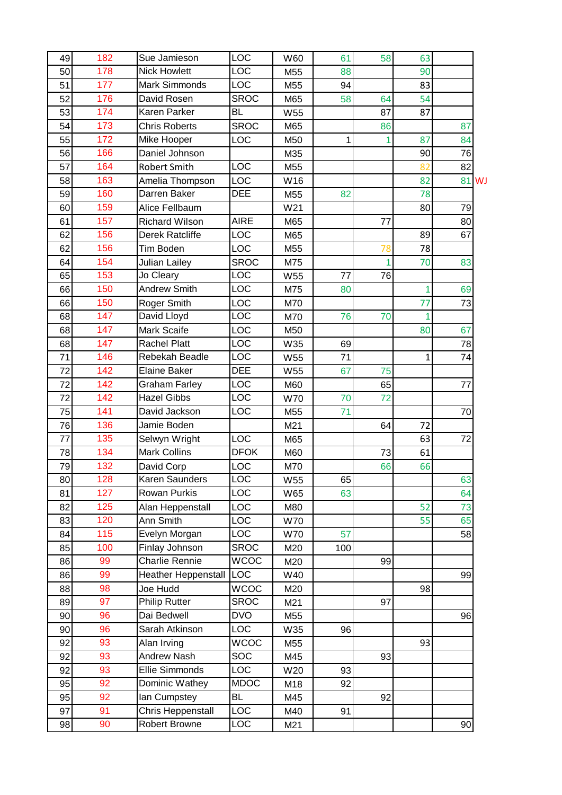| 49 | 182 | Sue Jamieson               | LOC         | W60 | 61  | 58 | 63             |    |           |
|----|-----|----------------------------|-------------|-----|-----|----|----------------|----|-----------|
| 50 | 178 | <b>Nick Howlett</b>        | <b>LOC</b>  | M55 | 88  |    | 90             |    |           |
| 51 | 177 | <b>Mark Simmonds</b>       | LOC         | M55 | 94  |    | 83             |    |           |
| 52 | 176 | David Rosen                | <b>SROC</b> | M65 | 58  | 64 | 54             |    |           |
| 53 | 174 | Karen Parker               | <b>BL</b>   | W55 |     | 87 | 87             |    |           |
| 54 | 173 | <b>Chris Roberts</b>       | <b>SROC</b> | M65 |     | 86 |                | 87 |           |
| 55 | 172 | Mike Hooper                | LOC         | M50 | 1   | 1  | 87             | 84 |           |
| 56 | 166 | Daniel Johnson             |             | M35 |     |    | 90             | 76 |           |
| 57 | 164 | <b>Robert Smith</b>        | LOC         | M55 |     |    | 82             | 82 |           |
| 58 | 163 | Amelia Thompson            | LOC         | W16 |     |    | 82             | 81 | <b>WJ</b> |
| 59 | 160 | Darren Baker               | <b>DEE</b>  | M55 | 82  |    | 78             |    |           |
| 60 | 159 | Alice Fellbaum             |             | W21 |     |    | 80             | 79 |           |
| 61 | 157 | <b>Richard Wilson</b>      | <b>AIRE</b> | M65 |     | 77 |                | 80 |           |
| 62 | 156 | Derek Ratcliffe            | LOC         | M65 |     |    | 89             | 67 |           |
| 62 | 156 | Tim Boden                  | LOC         | M55 |     | 78 | 78             |    |           |
| 64 | 154 | Julian Lailey              | <b>SROC</b> | M75 |     |    | 70             | 83 |           |
| 65 | 153 | Jo Cleary                  | LOC         | W55 | 77  | 76 |                |    |           |
| 66 | 150 | <b>Andrew Smith</b>        | LOC         | M75 | 80  |    | $\overline{1}$ | 69 |           |
| 66 | 150 | Roger Smith                | LOC         | M70 |     |    | 77             | 73 |           |
| 68 | 147 | David Lloyd                | LOC         | M70 | 76  | 70 | $\overline{1}$ |    |           |
| 68 | 147 | Mark Scaife                | LOC         | M50 |     |    | 80             | 67 |           |
| 68 | 147 | <b>Rachel Platt</b>        | LOC         | W35 | 69  |    |                | 78 |           |
| 71 | 146 | Rebekah Beadle             | LOC         | W55 | 71  |    | 1              | 74 |           |
| 72 | 142 | <b>Elaine Baker</b>        | <b>DEE</b>  | W55 | 67  | 75 |                |    |           |
| 72 | 142 | <b>Graham Farley</b>       | LOC         | M60 |     | 65 |                | 77 |           |
| 72 | 142 | <b>Hazel Gibbs</b>         | LOC         | W70 | 70  | 72 |                |    |           |
| 75 | 141 | David Jackson              | LOC         | M55 | 71  |    |                | 70 |           |
| 76 | 136 | Jamie Boden                |             | M21 |     | 64 | 72             |    |           |
| 77 | 135 | Selwyn Wright              | <b>LOC</b>  | M65 |     |    | 63             | 72 |           |
| 78 | 134 | <b>Mark Collins</b>        | <b>DFOK</b> | M60 |     | 73 | 61             |    |           |
| 79 | 132 | David Corp                 | <b>LOC</b>  | M70 |     | 66 | 66             |    |           |
| 80 | 128 | Karen Saunders             | LOC         | W55 | 65  |    |                | 63 |           |
| 81 | 127 | Rowan Purkis               | LOC         | W65 | 63  |    |                | 64 |           |
| 82 | 125 | Alan Heppenstall           | LOC         | M80 |     |    | 52             | 73 |           |
| 83 | 120 | Ann Smith                  | LOC         | W70 |     |    | 55             | 65 |           |
| 84 | 115 | Evelyn Morgan              | LOC         | W70 | 57  |    |                | 58 |           |
| 85 | 100 | Finlay Johnson             | <b>SROC</b> | M20 | 100 |    |                |    |           |
| 86 | 99  | Charlie Rennie             | <b>WCOC</b> | M20 |     | 99 |                |    |           |
| 86 | 99  | <b>Heather Heppenstall</b> | <b>LOC</b>  | W40 |     |    |                | 99 |           |
| 88 | 98  | Joe Hudd                   | <b>WCOC</b> | M20 |     |    | 98             |    |           |
| 89 | 97  | <b>Philip Rutter</b>       | <b>SROC</b> | M21 |     | 97 |                |    |           |
| 90 | 96  | Dai Bedwell                | <b>DVO</b>  | M55 |     |    |                | 96 |           |
| 90 | 96  | Sarah Atkinson             | <b>LOC</b>  | W35 | 96  |    |                |    |           |
| 92 | 93  | Alan Irving                | <b>WCOC</b> | M55 |     |    | 93             |    |           |
| 92 | 93  | Andrew Nash                | SOC         | M45 |     | 93 |                |    |           |
| 92 | 93  | Ellie Simmonds             | <b>LOC</b>  | W20 | 93  |    |                |    |           |
| 95 | 92  | Dominic Wathey             | <b>MDOC</b> | M18 | 92  |    |                |    |           |
| 95 | 92  | lan Cumpstey               | BL          | M45 |     | 92 |                |    |           |
| 97 | 91  | Chris Heppenstall          | <b>LOC</b>  | M40 | 91  |    |                |    |           |
| 98 | 90  | Robert Browne              | LOC         | M21 |     |    |                | 90 |           |
|    |     |                            |             |     |     |    |                |    |           |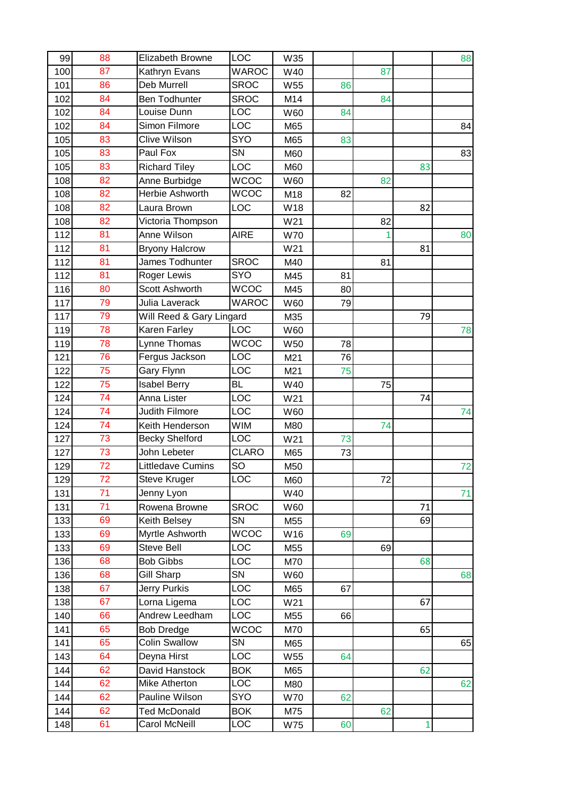| 99  | 88              | <b>Elizabeth Browne</b>  | <b>LOC</b>               | W35 |    |    |              | 88 |
|-----|-----------------|--------------------------|--------------------------|-----|----|----|--------------|----|
| 100 | 87              | Kathryn Evans            | <b>WAROC</b>             | W40 |    | 87 |              |    |
| 101 | 86              | Deb Murrell              | <b>SROC</b>              | W55 | 86 |    |              |    |
| 102 | 84              | <b>Ben Todhunter</b>     | <b>SROC</b>              | M14 |    | 84 |              |    |
| 102 | 84              | Louise Dunn              | <b>LOC</b>               | W60 | 84 |    |              |    |
| 102 | 84              | Simon Filmore            | LOC                      | M65 |    |    |              | 84 |
| 105 | 83              | <b>Clive Wilson</b>      | SYO                      | M65 | 83 |    |              |    |
| 105 | 83              | Paul Fox                 | SN                       | M60 |    |    |              | 83 |
| 105 | 83              | <b>Richard Tiley</b>     | <b>LOC</b>               | M60 |    |    | 83           |    |
| 108 | 82              | Anne Burbidge            | <b>WCOC</b>              | W60 |    | 82 |              |    |
| 108 | 82              | Herbie Ashworth          | <b>WCOC</b>              | M18 | 82 |    |              |    |
| 108 | 82              | Laura Brown              | <b>LOC</b>               | W18 |    |    | 82           |    |
| 108 | 82              | Victoria Thompson        |                          | W21 |    | 82 |              |    |
| 112 | 81              | Anne Wilson              | <b>AIRE</b>              | W70 |    | 1  |              | 80 |
| 112 | 81              | <b>Bryony Halcrow</b>    |                          | W21 |    |    | 81           |    |
| 112 | 81              | James Todhunter          | <b>SROC</b>              | M40 |    | 81 |              |    |
| 112 | 81              | Roger Lewis              | SYO                      | M45 | 81 |    |              |    |
| 116 | 80              | Scott Ashworth           | <b>WCOC</b>              | M45 | 80 |    |              |    |
| 117 | 79              | Julia Laverack           | <b>WAROC</b>             | W60 | 79 |    |              |    |
| 117 | 79              | Will Reed & Gary Lingard |                          | M35 |    |    | 79           |    |
| 119 | 78              | Karen Farley             | LOC                      | W60 |    |    |              | 78 |
| 119 | 78              | Lynne Thomas             | $\overline{\text{WCOC}}$ | W50 | 78 |    |              |    |
| 121 | 76              | Fergus Jackson           | LOC                      | M21 | 76 |    |              |    |
| 122 | 75              | Gary Flynn               | <b>LOC</b>               | M21 | 75 |    |              |    |
| 122 | 75              | <b>Isabel Berry</b>      | BL                       | W40 |    | 75 |              |    |
| 124 | 74              | Anna Lister              | <b>LOC</b>               | W21 |    |    | 74           |    |
| 124 | 74              | <b>Judith Filmore</b>    | $\overline{LOC}$         | W60 |    |    |              | 74 |
| 124 | 74              | Keith Henderson          | <b>WIM</b>               | M80 |    | 74 |              |    |
| 127 | 73              | <b>Becky Shelford</b>    | <b>LOC</b>               | W21 | 73 |    |              |    |
| 127 | $\overline{73}$ | John Lebeter             | <b>CLARO</b>             | M65 | 73 |    |              |    |
| 129 | 72              | <b>Littledave Cumins</b> | SO                       | M50 |    |    |              | 72 |
| 129 | 72              | Steve Kruger             | <b>LOC</b>               | M60 |    | 72 |              |    |
| 131 | 71              | Jenny Lyon               |                          | W40 |    |    |              | 71 |
| 131 | 71              | Rowena Browne            | <b>SROC</b>              | W60 |    |    | 71           |    |
| 133 | 69              | Keith Belsey             | SN                       | M55 |    |    | 69           |    |
| 133 | 69              | Myrtle Ashworth          | <b>WCOC</b>              | W16 | 69 |    |              |    |
| 133 | 69              | <b>Steve Bell</b>        | <b>LOC</b>               | M55 |    | 69 |              |    |
| 136 | 68              | <b>Bob Gibbs</b>         | LOC                      | M70 |    |    | 68           |    |
| 136 | 68              | <b>Gill Sharp</b>        | SN                       | W60 |    |    |              | 68 |
| 138 | 67              | <b>Jerry Purkis</b>      | LOC                      | M65 | 67 |    |              |    |
| 138 | 67              | Lorna Ligema             | <b>LOC</b>               | W21 |    |    | 67           |    |
| 140 | 66              | Andrew Leedham           | <b>LOC</b>               | M55 | 66 |    |              |    |
| 141 | 65              | <b>Bob Dredge</b>        | <b>WCOC</b>              | M70 |    |    | 65           |    |
| 141 | 65              | Colin Swallow            | SN                       | M65 |    |    |              | 65 |
| 143 | 64              | Deyna Hirst              | LOC                      | W55 | 64 |    |              |    |
| 144 | 62              | David Hanstock           | <b>BOK</b>               | M65 |    |    | 62           |    |
| 144 | 62              | Mike Atherton            | LOC                      | M80 |    |    |              | 62 |
| 144 | 62              | Pauline Wilson           | <b>SYO</b>               | W70 | 62 |    |              |    |
| 144 | 62              | <b>Ted McDonald</b>      | <b>BOK</b>               | M75 |    | 62 |              |    |
| 148 | 61              | Carol McNeill            | LOC                      | W75 | 60 |    | $\mathbf{1}$ |    |